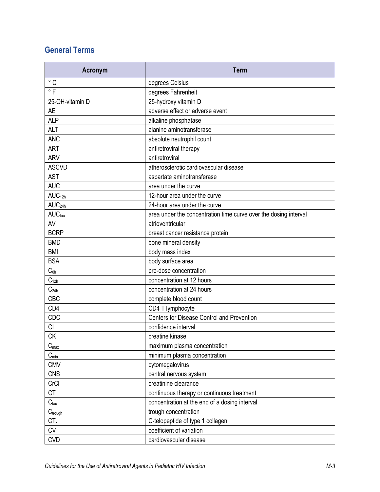## **General Terms**

| <b>Acronym</b>       | <b>Term</b>                                                      |
|----------------------|------------------------------------------------------------------|
| $\degree$ C          | degrees Celsius                                                  |
| $\degree$ F          | degrees Fahrenheit                                               |
| 25-OH-vitamin D      | 25-hydroxy vitamin D                                             |
| <b>AE</b>            | adverse effect or adverse event                                  |
| <b>ALP</b>           | alkaline phosphatase                                             |
| <b>ALT</b>           | alanine aminotransferase                                         |
| <b>ANC</b>           | absolute neutrophil count                                        |
| <b>ART</b>           | antiretroviral therapy                                           |
| <b>ARV</b>           | antiretroviral                                                   |
| <b>ASCVD</b>         | atherosclerotic cardiovascular disease                           |
| <b>AST</b>           | aspartate aminotransferase                                       |
| <b>AUC</b>           | area under the curve                                             |
| AUC <sub>12h</sub>   | 12-hour area under the curve                                     |
| AUC <sub>24h</sub>   | 24-hour area under the curve                                     |
| AUC <sub>tau</sub>   | area under the concentration time curve over the dosing interval |
| AV                   | atrioventricular                                                 |
| <b>BCRP</b>          | breast cancer resistance protein                                 |
| <b>BMD</b>           | bone mineral density                                             |
| <b>BMI</b>           | body mass index                                                  |
| <b>BSA</b>           | body surface area                                                |
| $C_{0h}$             | pre-dose concentration                                           |
| $\mathbf{C}_{12h}$   | concentration at 12 hours                                        |
| C <sub>24h</sub>     | concentration at 24 hours                                        |
| CBC                  | complete blood count                                             |
| CD4                  | CD4 T lymphocyte                                                 |
| CDC                  | Centers for Disease Control and Prevention                       |
| CI                   | confidence interval                                              |
| <b>CK</b>            | creatine kinase                                                  |
| $C_{\text{max}}$     | maximum plasma concentration                                     |
| $C_{min}$            | minimum plasma concentration                                     |
| <b>CMV</b>           | cytomegalovirus                                                  |
| <b>CNS</b>           | central nervous system                                           |
| CrCl                 | creatinine clearance                                             |
| <b>CT</b>            | continuous therapy or continuous treatment                       |
| $C_{\text{tau}}$     | concentration at the end of a dosing interval                    |
| $C_{\text{trought}}$ | trough concentration                                             |
| $CT_x$               | C-telopeptide of type 1 collagen                                 |
| <b>CV</b>            | coefficient of variation                                         |
| <b>CVD</b>           | cardiovascular disease                                           |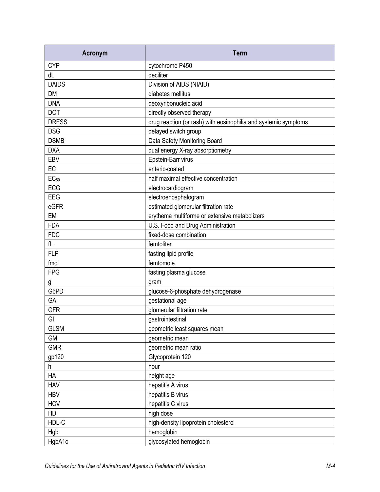| <b>Acronym</b> | <b>Term</b>                                                     |
|----------------|-----------------------------------------------------------------|
| <b>CYP</b>     | cytochrome P450                                                 |
| dL             | deciliter                                                       |
| <b>DAIDS</b>   | Division of AIDS (NIAID)                                        |
| <b>DM</b>      | diabetes mellitus                                               |
| <b>DNA</b>     | deoxyribonucleic acid                                           |
| <b>DOT</b>     | directly observed therapy                                       |
| <b>DRESS</b>   | drug reaction (or rash) with eosinophilia and systemic symptoms |
| <b>DSG</b>     | delayed switch group                                            |
| <b>DSMB</b>    | Data Safety Monitoring Board                                    |
| <b>DXA</b>     | dual energy X-ray absorptiometry                                |
| EBV            | Epstein-Barr virus                                              |
| EC             | enteric-coated                                                  |
| $EC_{50}$      | half maximal effective concentration                            |
| <b>ECG</b>     | electrocardiogram                                               |
| EEG            | electroencephalogram                                            |
| eGFR           | estimated glomerular filtration rate                            |
| <b>EM</b>      | erythema multiforme or extensive metabolizers                   |
| <b>FDA</b>     | U.S. Food and Drug Administration                               |
| <b>FDC</b>     | fixed-dose combination                                          |
| fL             | femtoliter                                                      |
| <b>FLP</b>     | fasting lipid profile                                           |
| fmol           | femtomole                                                       |
| <b>FPG</b>     | fasting plasma glucose                                          |
| g              | gram                                                            |
| G6PD           | glucose-6-phosphate dehydrogenase                               |
| GA             | gestational age                                                 |
| <b>GFR</b>     | glomerular filtration rate                                      |
| GI             | gastrointestinal                                                |
| <b>GLSM</b>    | geometric least squares mean                                    |
| <b>GM</b>      | geometric mean                                                  |
| <b>GMR</b>     | geometric mean ratio                                            |
| gp120          | Glycoprotein 120                                                |
| h              | hour                                                            |
| HA             | height age                                                      |
| <b>HAV</b>     | hepatitis A virus                                               |
| <b>HBV</b>     | hepatitis B virus                                               |
| <b>HCV</b>     | hepatitis C virus                                               |
| HD             | high dose                                                       |
| HDL-C          | high-density lipoprotein cholesterol                            |
| Hgb            | hemoglobin                                                      |
| HgbA1c         | glycosylated hemoglobin                                         |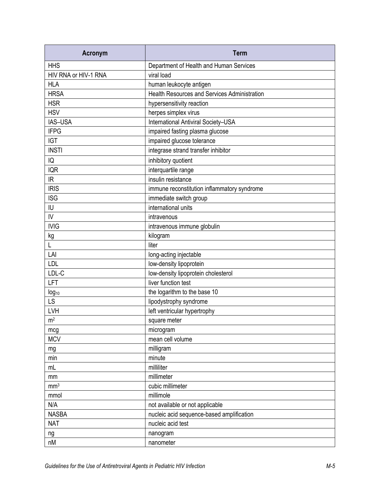| <b>Acronym</b>       | <b>Term</b>                                         |
|----------------------|-----------------------------------------------------|
| <b>HHS</b>           | Department of Health and Human Services             |
| HIV RNA or HIV-1 RNA | viral load                                          |
| <b>HLA</b>           | human leukocyte antigen                             |
| <b>HRSA</b>          | <b>Health Resources and Services Administration</b> |
| <b>HSR</b>           | hypersensitivity reaction                           |
| <b>HSV</b>           | herpes simplex virus                                |
| IAS-USA              | International Antiviral Society-USA                 |
| <b>IFPG</b>          | impaired fasting plasma glucose                     |
| <b>IGT</b>           | impaired glucose tolerance                          |
| <b>INSTI</b>         | integrase strand transfer inhibitor                 |
| IQ                   | inhibitory quotient                                 |
| <b>IQR</b>           | interquartile range                                 |
| IR                   | insulin resistance                                  |
| <b>IRIS</b>          | immune reconstitution inflammatory syndrome         |
| <b>ISG</b>           | immediate switch group                              |
| IU                   | international units                                 |
| IV                   | intravenous                                         |
| <b>IVIG</b>          | intravenous immune globulin                         |
| kg                   | kilogram                                            |
| L                    | liter                                               |
| LAI                  | long-acting injectable                              |
| <b>LDL</b>           | low-density lipoprotein                             |
| LDL-C                | low-density lipoprotein cholesterol                 |
| LFT                  | liver function test                                 |
| $log_{10}$           | the logarithm to the base 10                        |
| LS                   | lipodystrophy syndrome                              |
| LVH                  | left ventricular hypertrophy                        |
| m <sup>2</sup>       | square meter                                        |
| mcg                  | microgram                                           |
| <b>MCV</b>           | mean cell volume                                    |
| mg                   | milligram                                           |
| min                  | minute                                              |
| mL                   | milliliter                                          |
| mm                   | millimeter                                          |
| mm <sup>3</sup>      | cubic millimeter                                    |
| mmol                 | millimole                                           |
| N/A                  | not available or not applicable                     |
| <b>NASBA</b>         | nucleic acid sequence-based amplification           |
| <b>NAT</b>           | nucleic acid test                                   |
| ng                   | nanogram                                            |
| nM                   | nanometer                                           |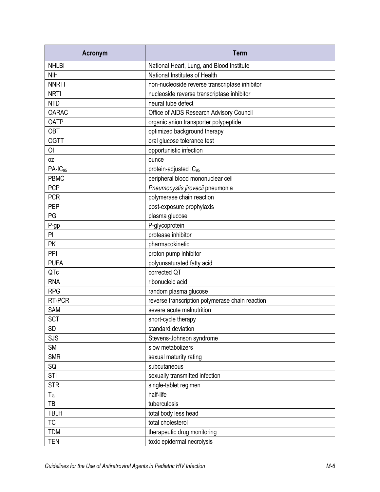| <b>Acronym</b>      | <b>Term</b>                                     |
|---------------------|-------------------------------------------------|
| <b>NHLBI</b>        | National Heart, Lung, and Blood Institute       |
| <b>NIH</b>          | National Institutes of Health                   |
| <b>NNRTI</b>        | non-nucleoside reverse transcriptase inhibitor  |
| <b>NRTI</b>         | nucleoside reverse transcriptase inhibitor      |
| <b>NTD</b>          | neural tube defect                              |
| <b>OARAC</b>        | Office of AIDS Research Advisory Council        |
| <b>OATP</b>         | organic anion transporter polypeptide           |
| <b>OBT</b>          | optimized background therapy                    |
| <b>OGTT</b>         | oral glucose tolerance test                     |
| <b>OI</b>           | opportunistic infection                         |
| 0Z                  | ounce                                           |
| PA-IC <sub>95</sub> | protein-adjusted IC <sub>95</sub>               |
| <b>PBMC</b>         | peripheral blood mononuclear cell               |
| <b>PCP</b>          | Pneumocystis jirovecii pneumonia                |
| <b>PCR</b>          | polymerase chain reaction                       |
| <b>PEP</b>          | post-exposure prophylaxis                       |
| PG                  | plasma glucose                                  |
| P-gp                | P-glycoprotein                                  |
| PI                  | protease inhibitor                              |
| <b>PK</b>           | pharmacokinetic                                 |
| PPI                 | proton pump inhibitor                           |
| <b>PUFA</b>         | polyunsaturated fatty acid                      |
| QTc                 | corrected QT                                    |
| <b>RNA</b>          | ribonucleic acid                                |
| <b>RPG</b>          | random plasma glucose                           |
| RT-PCR              | reverse transcription polymerase chain reaction |
| <b>SAM</b>          | severe acute malnutrition                       |
| <b>SCT</b>          | short-cycle therapy                             |
| <b>SD</b>           | standard deviation                              |
| <b>SJS</b>          | Stevens-Johnson syndrome                        |
| <b>SM</b>           | slow metabolizers                               |
| <b>SMR</b>          | sexual maturity rating                          |
| SQ                  | subcutaneous                                    |
| <b>STI</b>          | sexually transmitted infection                  |
| <b>STR</b>          | single-tablet regimen                           |
| $T_{\frac{1}{2}}$   | half-life                                       |
| TB                  | tuberculosis                                    |
| <b>TBLH</b>         | total body less head                            |
| <b>TC</b>           | total cholesterol                               |
| <b>TDM</b>          | therapeutic drug monitoring                     |
| <b>TEN</b>          | toxic epidermal necrolysis                      |